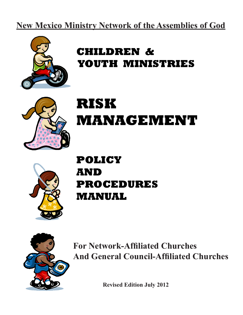# **New Mexico Ministry Network of the Assemblies of God**



# **CHILDREN & YOUTH MINISTRIES**



# **RISK MANAGEMENT**



# **POLICY AND PROCEDURES MANUAL**



**For Network-Affiliated Churches And General Council-Affiliated Churches**

**Revised Edition July 2012**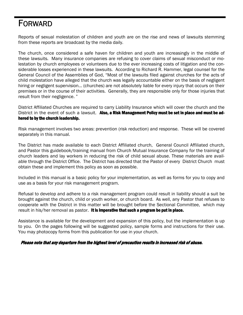# FORWARD

Reports of sexual molestation of children and youth are on the rise and news of lawsuits stemming from these reports are broadcast by the media daily.

The church, once considered a safe haven for children and youth are increasingly in the middle of these lawsuits. Many insurance companies are refusing to cover claims of sexual misconduct or molestation by church employees or volunteers due to the ever increasing costs of litigation and the considerable losses experienced in these lawsuits. According to Richard R. Hammer, legal counsel for the General Council of the Assemblies of God, "Most of the lawsuits filed against churches for the acts of child molestation have alleged that the church was legally accountable either on the basis of negligent hiring or negligent supervision... (churches) are not absolutely liable for every injury that occurs on their premises or in the course of their activities. Generally, they are responsible only for those injuries that result from their negligence. "

District Affiliated Churches are required to carry Liability Insurance which will cover the church and the District in the event of such a lawsuit. Also, a Risk Management Policy must be set in place and must be adhered to by the church leadership.

Risk management involves two areas: prevention (risk reduction) and response. These will be covered separately in this manual.

The District has made available to each District Affiliated church, General Council Affiliated church, and Pastor this guidebook/training manual from Church Mutual Insurance Company for the training of church leaders and lay workers in reducing the risk of child sexual abuse. These materials are available through the District Office. The District has directed that the Pastor of every District Church must obtain these and implement this policy as soon as possible.

Included in this manual is a basic policy for your implementation, as well as forms for you to copy and use as a basis for your risk management program.

Refusal to develop and adhere to a risk management program could result in liability should a suit be brought against the church, child or youth worker, or church board. As well, any Pastor that refuses to cooperate with the District in this matter will be brought before the Sectional Committee, which may result in his/her removal as pastor. It is imperative that such a program be put in place.

Assistance is available for the development and expansion of this policy, but the implementation is up to you. On the pages following will be suggested policy, sample forms and instructions for their use. You may photocopy forms from this publication for use in your church.

### Please note that any departure from the highest level of precaution results in increased risk of abuse.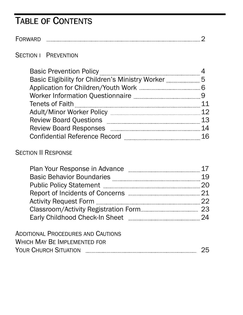# TABLE OF CONTENTS

FORWARD 2

# **SECTION I PREVENTION**

| <b>Basic Prevention Policy</b>                            |  |
|-----------------------------------------------------------|--|
| Basic Eligibility for Children's Ministry Worker          |  |
|                                                           |  |
| Worker Information Questionnaire <b>Marin Access 1986</b> |  |
| <b>Tenets of Faith</b>                                    |  |
| <b>Adult/Minor Worker Policy</b>                          |  |
| <b>Review Board Questions</b>                             |  |
| <b>Review Board Responses</b>                             |  |
| <b>Confidential Reference Record</b>                      |  |

# **SECTION II RESPONSE**

| Plan Your Response in Advance         |    |
|---------------------------------------|----|
| <b>Basic Behavior Boundaries</b>      |    |
| <b>Public Policy Statement</b>        |    |
|                                       |    |
| <b>Activity Request Form</b>          |    |
|                                       | 23 |
| <b>Early Childhood Check-In Sheet</b> |    |
|                                       |    |

| ADDITIONAL PROCEDURES AND CAUTIONS |  |
|------------------------------------|--|
| WHICH MAY BE IMPLEMENTED FOR       |  |
| <b>YOUR CHURCH SITUATION</b>       |  |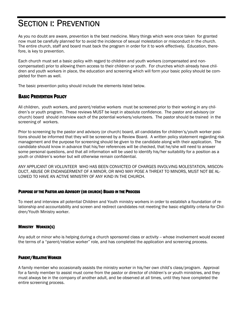# SECTION I: PREVENTION

As you no doubt are aware, prevention is the best medicine. Many things which were once taken for granted now must be carefully planned for to avoid the incidence of sexual molestation or misconduct in the church. The entire church, staff and board must back the program in order for it to work effectively. Education, therefore, is key to prevention.

Each church must set a basic policy with regard to children and youth workers (compensated and noncompensated) prior to allowing them access to their children or youth. For churches which already have children and youth workers in place, the education and screening which will form your basic policy should be completed for them as well.

The basic prevention policy should include the elements listed below.

## BASIC PREVENTION POLICY

All children, youth workers, and parent/relative workers must be screened prior to their working in any children's or youth program. These reviews MUST be kept in absolute confidence. The pastor and advisory (or church) board should interview each of the potential workers/volunteers. The pastor should be trained in the screening of workers.

Prior to screening by the pastor and advisory (or church) board, all candidates for children's/youth worker positions should be informed that they will be screened by a Review Board. A written policy statement regarding risk management and the purpose for screening should be given to the candidate along with their application. The candidate should know in advance that his/her references will be checked, that he/she will need to answer some personal questions, and that all information will be used to identify his/her suitability for a position as a youth or children's worker but will otherwise remain confidential.

ANY APPLICANT OR VOLUNTEER WHO HAS BEEN CONVICTED OF CHARGES INVOLVING MOLESTATION, MISCON-DUCT, ABUSE OR ENDANGERMENT OF A MINOR, OR WHO MAY POSE A THREAT TO MINORS, MUST NOT BE AL-LOWED TO HAVE AN ACTIVE MINISTRY OF ANY KIND IN THE CHURCH.

### PURPOSE OF THE PASTOR AND ADVISORY (OR CHURCH) BOARD IN THE PROCESS

To meet and interview all potential Children and Youth ministry workers in order to establish a foundation of relationship and accountability and screen and redirect candidates not meeting the basic eligibility criteria for Children/Youth Ministry worker.

### MINISTRY WORKER(S)

Any adult or minor who is helping during a church sponsored class or activity – whose involvement would exceed the terms of a "parent/relative worker" role, and has completed the application and screening process.

## PARENT/RELATIVE WORKER

A family member who occasionally assists the ministry worker in his/her own child's class/program. Approval for a family member to assist must come from the pastor or director of children's or youth ministries, and they must always be in the company of another adult, and be observed at all times, until they have completed the entire screening process.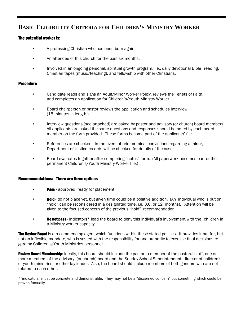# **BASIC ELIGIBILITY CRITERIA FOR CHILDREN'S MINISTRY WORKER**

### The potential worker is:

- A professing Christian who has been born again.
- An attendee of this church for the past six months.
- Involved in an ongoing personal, spiritual growth program, i.e., daily devotional Bible reading, Christian tapes (music/teaching), and fellowship with other Christians.

### **Procedure**

- Candidate reads and signs an Adult/Minor Worker Policy, reviews the Tenets of Faith, and completes an application for Children's/Youth Ministry Worker.
- Board chairperson or pastor reviews the application and schedules interview. (15 minutes in length.)
- Interview questions (see attached) are asked by pastor and advisory (or church) board members. All applicants are asked the same questions and responses should be noted by each board member on the form provided. These forms become part of the applicants' file.
- References are checked. In the event of prior criminal convictions regarding a minor, Department of Justice records will be checked for details of the case.
- Board evaluates together after completing "notes" form. (All paperwork becomes part of the permanent Children's/Youth Ministry Worker file.)

### Recommendations: There are three options

- **Pass** approved, ready for placement.
- **Hold** do not place yet, but given time could be a positive addition. (An individual who is put on "hold" can be reconsidered in a designated time, i.e. 3,6, or 12 months). Attention will be given to the focused concern of the previous "hold" recommendation.
- **Do not pass** indicators\* lead the board to deny this individual's involvement with the children in a Ministry worker capacity.

**The Review Board** is a recommending agent which functions within these stated policies. It provides input for, but not an inflexible mandate, who is vested with the responsibility for and authority to exercise final decisions regarding Children's/Youth Ministries personnel.

Review Board Membership: Ideally, this board should include the pastor, a member of the pastoral staff, one or more members of the advisory (or church) board and the Sunday School Superintendent, director of children's or youth ministries, or other lay leader. Also, the board should include members of both genders who are not related to each other.

\*"indicators" must be concrete and demonstrable. They may not be a "discerned concern" but something which could be proven factually.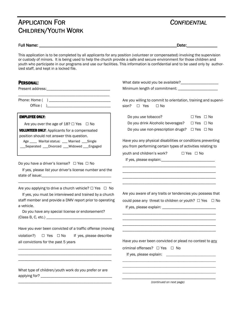# APPLICATION FOR *CONFIDENTIAL* CHILDREN/YOUTH WORK

## Full Name: \_\_\_\_\_\_\_\_\_\_\_\_\_\_\_\_\_\_\_\_\_\_\_\_\_\_\_\_\_\_\_\_\_\_\_\_\_\_\_\_\_\_\_\_\_\_\_\_\_\_\_\_\_\_\_\_\_\_\_\_\_\_\_Date:\_\_\_\_\_\_\_\_\_\_\_\_\_\_ \_\_\_\_\_\_\_\_\_\_\_\_\_\_\_\_\_\_\_\_\_\_\_Date:\_\_\_\_\_\_\_\_\_\_\_\_\_\_

This application is to be completed by all applicants for any position (volunteer or compensated) involving the supervision or custody of minors. It is being used to help the church provide a safe and secure environment for those children and youth who participate in our programs and use our facilities. This information is confidential and to be used only by authorized staff, and kept in a locked file.

| <b>PERSONAL:</b>                                                                                                                                                                                                                                                                      | What date would you be available?____________________<br>Minimum length of commitment: ___________________                                                                                                                                                                                                                                    |
|---------------------------------------------------------------------------------------------------------------------------------------------------------------------------------------------------------------------------------------------------------------------------------------|-----------------------------------------------------------------------------------------------------------------------------------------------------------------------------------------------------------------------------------------------------------------------------------------------------------------------------------------------|
|                                                                                                                                                                                                                                                                                       | Are you willing to commit to orientation, training and supervi-<br>sion?<br>$\Box$ Yes<br>$\Box$ No                                                                                                                                                                                                                                           |
| <b>EMPLOYEE ONLY:</b><br>Are you over the age of $18? \square$ Yes $\square$ No<br><b>VOLUNTEER ONLY: Applicants for a compensated</b><br>position should not answer this question.<br>Age ____ Marital status: ___ Married ___Single<br>_Separated ___Divorced ___Widowed ___Engaged | Do you use tobacco?<br>$\Box$ Yes $\Box$ No<br>Do you drink Alcoholic beverages?<br>$\Box$ Yes $\Box$ No<br>Do you use non-prescription drugs? □ Yes □ No<br>Have you any physical disabilities or conditions preventing<br>you from performing certain types of activities relating to<br>youth and children's work?<br>$\Box$ Yes $\Box$ No |
| Do you have a driver's license? $\Box$ Yes $\Box$ No<br>If yes, please list your driver's license number and the                                                                                                                                                                      |                                                                                                                                                                                                                                                                                                                                               |
| Are you applying to drive a church vehicle? $\Box$ Yes $\Box$ No<br>If yes, you must be interviewed and trained by a church<br>staff member and provide a DMV report prior to operating<br>a vehicle.<br>Do you have any special license or endorsement?                              | Are you aware of any traits or tendencies you possess that<br>could pose any threat to children or youth? $\Box$ Yes $\Box$ No                                                                                                                                                                                                                |
| Have you ever been convicted of a traffic offense (moving<br>If yes, please describe<br>violation?)<br>□ Yes □ No<br>all convictions for the past 5 years                                                                                                                             | Have you ever been convicted or plead no contest to any<br>criminal offenses? $\Box$ Yes $\Box$ No                                                                                                                                                                                                                                            |
| What type of children/youth work do you prefer or are                                                                                                                                                                                                                                 | (continued on next page)                                                                                                                                                                                                                                                                                                                      |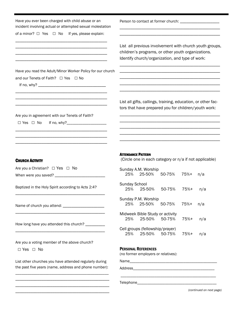| Have you ever been charged with child abuse or an<br>incident involving actual or attempted sexual molestation                                                                          | Person to contact at former church: ______________________                                                                                                       |
|-----------------------------------------------------------------------------------------------------------------------------------------------------------------------------------------|------------------------------------------------------------------------------------------------------------------------------------------------------------------|
| of a minor? $\Box$ Yes $\Box$ No<br>If yes, please explain:<br><u> 1980 - An Dùbhlachd ann an Dùbhlachd ann an Dùbhlachd ann an Dùbhlachd ann an Dùbhlachd ann an Dùbhlachd ann </u>    | List all previous involvement with church youth groups,<br>children's programs, or other youth organizations.<br>Identify church/organization, and type of work: |
| Have you read the Adult/Minor Worker Policy for our church<br>and our Tenets of Faith? □ Yes □ No                                                                                       |                                                                                                                                                                  |
| Are you in agreement with our Tenets of Faith?<br>$\Box$ Yes $\Box$ No                                                                                                                  | List all gifts, callings, training, education, or other fac-<br>tors that have prepared you for children/youth work:                                             |
| <b>CHURCH ACTIVITY</b><br>Are you a Christian? $\Box$ Yes $\Box$ No                                                                                                                     | <b>ATTENDANCE PATTERN</b><br>(Circle one in each category or n/a if not applicable)<br>Sunday A.M. Worship<br>25%<br>25-50%<br>50-75%<br>75%+                    |
| When were you saved? ______________<br>Baptized in the Holy Spirit according to Acts 2:4?                                                                                               | n/a<br><b>Sunday School</b><br>25%<br>50-75%<br>75%+<br>25-50%<br>n/a                                                                                            |
| Name of church you attend: _______________________                                                                                                                                      | Sunday P.M. Worship<br>25%<br>25-50%<br>50-75%<br>75%+<br>n/a                                                                                                    |
| How long have you attended this church? ________                                                                                                                                        | Midweek Bible Study or activity<br>25-50%<br>25%<br>50-75%<br>75%+<br>n/a<br>Cell groups (fellowship/prayer)                                                     |
| Are you a voting member of the above church?<br>$\Box$ Yes $\Box$ No<br>List other churches you have attended regularly during<br>the past five years (name, address and phone number): | 25-50%<br>25%<br>50-75%<br>75%+<br>n/a<br><b>PERSONAL REFERENCES</b><br>(no former employers or relatives):                                                      |
|                                                                                                                                                                                         | (continued on next page)                                                                                                                                         |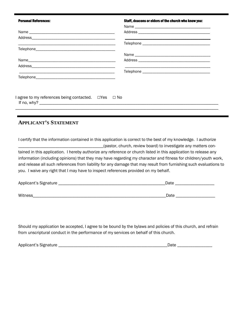| <b>Personal References:</b>                                                        | Staff, deacons or elders of the church who know you: |
|------------------------------------------------------------------------------------|------------------------------------------------------|
|                                                                                    |                                                      |
|                                                                                    |                                                      |
|                                                                                    |                                                      |
|                                                                                    |                                                      |
|                                                                                    |                                                      |
|                                                                                    |                                                      |
|                                                                                    |                                                      |
|                                                                                    |                                                      |
|                                                                                    |                                                      |
|                                                                                    |                                                      |
|                                                                                    |                                                      |
| $I$ agree to my references being contacted. $\Box$ Yes $\Box$ No<br>If no, $why$ ? |                                                      |

# **APPLICANT'S STATEMENT**

I certify that the information contained in this application is correct to the best of my knowledge. I authorize \_\_\_\_\_\_\_\_\_\_\_\_\_\_\_\_\_\_\_\_\_\_\_\_\_\_\_\_\_\_\_\_\_\_\_\_\_\_\_(pastor, church, review board) to investigate any matters contained in this application. I hereby authorize any reference or church listed in this application to release any information (including opinions) that they may have regarding my character and fitness for children/youth work, and release all such references from liability for any damage that may result from furnishing such evaluations to you. I waive any right that I may have to inspect references provided on my behalf.

| Applicant's Signature | Date |
|-----------------------|------|
|                       |      |
| <b>Witness</b>        | Date |

Should my application be accepted, I agree to be bound by the bylaws and policies of this church, and refrain from unscriptural conduct in the performance of my services on behalf of this church.

| Applicant's Signature | ıн |
|-----------------------|----|
|-----------------------|----|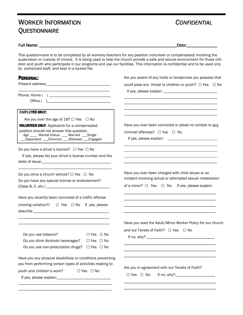# WORKER INFORMATION *CONFIDENTIAL* **QUESTIONNAIRE**

\_\_\_\_\_\_\_\_\_\_\_\_\_\_\_\_\_\_\_\_\_\_\_\_\_\_\_\_\_\_\_\_\_\_\_\_\_\_\_\_\_\_\_\_\_\_\_

Full Name: \_\_\_\_\_\_\_\_\_\_\_\_\_\_\_\_\_\_\_\_\_\_\_\_\_\_\_\_\_\_\_\_\_\_\_\_\_\_\_\_\_\_\_\_\_\_\_\_\_\_\_\_\_\_\_\_\_\_\_\_\_\_\_Date:\_\_\_\_\_\_\_\_\_\_\_\_\_\_ \_\_\_\_\_\_\_\_\_\_\_\_\_\_\_\_\_\_\_\_\_\_\_Date:\_\_\_\_\_\_\_\_\_\_\_\_\_\_

Are you aware of any traits or tendencies you possess that

\_\_\_\_\_\_\_\_\_\_\_\_\_\_\_\_\_\_\_\_\_\_\_\_\_\_\_\_\_\_\_\_\_\_\_\_\_\_\_\_\_\_

This questionnaire is to be completed by all workers/teachers for any position (volunteer or compensated) involving the supervision or custody of minors. It is being used to help the church provide a safe and secure environment for those children and youth who participate in our programs and use our facilities. This information is confidential and to be used only by authorized staff, and kept in a locked file.

### PERSONAL:

|                                                                                                                                                                                                    | could pose any threat to children or youth? □ Yes □ No                                                                                                                     |
|----------------------------------------------------------------------------------------------------------------------------------------------------------------------------------------------------|----------------------------------------------------------------------------------------------------------------------------------------------------------------------------|
|                                                                                                                                                                                                    |                                                                                                                                                                            |
| <b>EMPLOYEE ONLY:</b>                                                                                                                                                                              |                                                                                                                                                                            |
| Are you over the age of $18? \square$ Yes $\square$ No                                                                                                                                             |                                                                                                                                                                            |
| <b>VOLUNTEER ONLY: Applicants for a compensated</b><br>position should not answer this question.<br>Age ____ Marital status: ___ Married ___Single<br>_Separated ___Divorced ___Widowed ___Engaged | Have you ever been convicted or plead no contest to any<br>criminal offenses? $\Box$ Yes $\Box$ No                                                                         |
| Do you have a driver's license? $\Box$ Yes $\Box$ No<br>If yes, please list your driver's license number and the                                                                                   |                                                                                                                                                                            |
| Do you drive a church vehicle? $\Box$ Yes $\Box$ No<br>Do you have any special license or endorsement?                                                                                             | Have you ever been charged with child abuse or an<br>incident involving actual or attempted sexual molestation<br>of a minor? $\Box$ Yes $\Box$ No If yes, please explain: |
| Have you recently been convicted of a traffic offense                                                                                                                                              |                                                                                                                                                                            |
| (moving violation?) $\Box$ Yes $\Box$ No If yes, please                                                                                                                                            |                                                                                                                                                                            |
|                                                                                                                                                                                                    | Have you read the Adult/Minor Worker Policy for our church<br>and our Tenets of Faith? □ Yes □ No                                                                          |
| Do you use tobacco?<br>$\Box$ Yes $\Box$ No<br>Do you drink Alcoholic beverages?<br>$\Box$ Yes $\Box$ No<br>Do you use non-prescription drugs? $\Box$ Yes $\Box$ No                                |                                                                                                                                                                            |
| Have you any physical disabilities or conditions preventing<br>you from performing certain types of activities relating to                                                                         |                                                                                                                                                                            |
| youth and children's work? $\square$ Yes $\square$ No                                                                                                                                              | Are you in agreement with our Tenets of Faith?<br>$\Box$ Yes $\Box$ No                                                                                                     |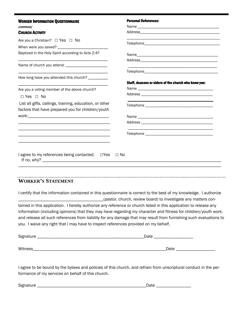| <b>WORKER INFORMATION QUESTIONNAIRE</b>                 | <b>Personal References:</b>                          |
|---------------------------------------------------------|------------------------------------------------------|
| (CONTINUED)                                             |                                                      |
| <b>CHURCH ACTIVITY</b>                                  |                                                      |
| Are you a Christian? $\Box$ Yes $\Box$ No               |                                                      |
|                                                         |                                                      |
| Baptized in the Holy Spirit according to Acts 2:4?      |                                                      |
|                                                         |                                                      |
|                                                         |                                                      |
|                                                         |                                                      |
| How long have you attended this church? __________      |                                                      |
|                                                         | Staff, deacons or elders of the church who know you: |
| Are you a voting member of the above church?            |                                                      |
| $\Box$ Yes $\Box$ No                                    |                                                      |
| List all gifts, callings, training, education, or other |                                                      |
| factors that have prepared you for children/youth       |                                                      |
|                                                         |                                                      |
|                                                         |                                                      |
|                                                         |                                                      |
|                                                         |                                                      |
|                                                         |                                                      |
| I agree to my references being contacted. □ Yes □ No    |                                                      |
|                                                         |                                                      |

# **WORKER'S STATEMENT**

I certify that the information contained in this questionnaire is correct to the best of my knowledge. I authorize \_\_\_\_\_\_\_\_\_\_\_\_\_\_\_\_\_\_\_\_\_\_\_\_\_\_\_\_\_\_\_\_\_\_\_\_\_\_\_(pastor, church, review board) to investigate any matters contained in this application. I hereby authorize any reference or church listed in this application to release any information (including opinions) that they may have regarding my character and fitness for children/youth work, and release all such references from liability for any damage that may result from furnishing such evaluations to you. I waive any right that I may have to inspect references provided on my behalf.

| Signature | Date |
|-----------|------|
|           |      |
| Witness   | Date |

I agree to be bound by the bylaws and policies of this church, and refrain from unscriptural conduct in the performance of my services on behalf of this church.

Signature \_\_\_\_\_\_\_\_\_\_\_\_\_\_\_\_\_\_\_\_\_\_\_\_\_\_\_\_\_\_\_\_\_\_\_\_\_\_\_\_\_\_\_\_\_\_\_\_\_\_Date \_\_\_\_\_\_\_\_\_\_\_\_\_\_\_\_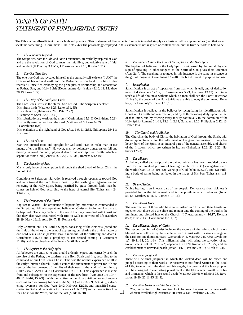# **TENETS OF FAITH** STATEMENT OF FUNDAMENTAL TRUTHS

The Bible is our all-sufficient rule for faith and practice. This Statement of Fundamental Truths is intended simply as a basis of fellowship among us (i.e., that we all speak the same thing, I Corinthians 1:10; Acts 2:42) The phraseology employed in this statement is not inspired or contended for, but the truth set forth is held to be

#### *1.* The Scriptures Inspired

The Scriptures, both the Old and New Testaments, are verbally inspired of God and are the revelation of God to man, the infallible, authoritative rule of faith and conduct (II Timothy 3:15-17; I Thessalonians 2:13; II Peter 1:21)

#### 2. The One True God

The one true God has revealed himself as the eternally self-existent "I AM" the Creator of heaven and earth and the Redeemer of mankind. He has further revealed Himself as embodying the principles of relationship and association as Father, Son, and Holy Spirit (Deuteronomy 6:4; Isaiah 43:10, 11; Matthew 28:19, Luke 3:22)

#### 3. The Deity of the Lord Jesus Christ

The Lord Jesus Christ is the eternal Son of God. The Scriptures declare:

His virgin birth (Matthew 1:23; Luke 1:31, 35)

His sinless life (Hebrews 7:26; I Peter 2:22)

His miracles (Acts 2:22; 10:38)

 His substitutionary work on the cross (I Corinthians 15:3; II Corinthians 5:21) His bodily resurrection from the dead (Matthew 28:6; Luke 24:39;

I Corinthians 15:4)

 His exaltation to the right hand of God (Acts 1:9, 11; 2:33, Philippians 2:9-11; Hebrews 1:3)

#### 4. The Fall of Man

Man was created good and upright; for God said, "Let us make man in our image, after our likeness." However, man by voluntary transgression fell and thereby incurred not only physical death but also spiritual death, which is separation from God (Genesis 1:26-27; 2:17; 3:6, Romans 5:12-19)

#### 5. The Salvation of Man

Man's only hope of redemption is through the shed blood of Jesus Christ the Son of God.

Conditions to Salvation: Salvation is received through repentance toward God and faith toward the Lord Jesus Christ. By the washing of regeneration and renewing of the Holy Spirit, being justified by grace through faith, man becomes an heir of God according to the hope of eternal life (Ephesians 4:24; Titus 2:12)

#### **6.** The Ordinances of the Church

Baptism in Water: The ordinance of baptism by immersion is commanded in the Scriptures. All who repent and believe on Christ as Savior and Lord are to be baptized. Thus they declare to the world that they have died with Christ and that they also have been raised with Him to walk in newness of life (Matthew 28:19; Mark 16:18; Acts 10:47, 48, Romans 6:4)

Holy Communion: The Lord's Supper, consisting of the elements (bread and the fruit of the vine) is the symbol expressing our sharing the divine nature of our Lord Jesus Christ (II Peter 1:4); a memorial of the suffering and death (I Corinthians 11:26); and a prophecy of His second coming (I Corinthians 11:26): and is enjoined on all believers "until He come!"

#### 7. The Baptism in the Holy Spirit

All believers are entitled to and should ardently expect and earnestly seek the promise of the Father, the baptism in the Holy Spirit and fire, according to the command of our Lord Jesus Christ. This was the normal experience of all in the early Christian church. With it comes the enduement of power for life and service, the bestowment of the gifts of their uses in the work of the ministry (Luke 24:49: Acts 1: 4,8: I Corinthians 12: 1-31). This experience is distinct from and subsequent to the experience of the new birth (Acts 8:12-17; 10:44- 46; 11:14-16; 15:7-9). With the baptism in the Holy Spirit comes such experiences as an overflowing fullness of the Spirit (John 7:37-39; Acts 4:8), a deepening reverence for God (Acts 2:42; Hebrews 12:28), and intensified consecration to God and dedication to His work (Acts 2:42) and a more active love for Christ, for His Word, and for the lost (Mark 16:20).

#### 8. The Initial Physical Evidence of the Baptism in the Holy Spirit

The baptism of believers in the Holy Spirit is witnessed by the initial physical sign of speaking in other tongues as the Spirit of God gives them utterance (Acts 2::4), The speaking in tongues in this instance is the same in essence as the gift of tongues (I Corinthians 12:4-10, 18), but different in purpose and use.

#### *9. Sanctification*

Sanctification is an act of separation from that which is evil, and of dedication unto God (Romans 12:1,2; I Thessalonians 5:23; Hebrews 13:12) Scriptures teach a life of "holiness without which no man shall see the Lord" (Hebrews 12:14) By the power of the Holy Spirit we are able to obey the command: Be ye holy, for I am holy" (I Peter 1:15,16)

Sanctification is realized in the believer by recognizing his identification with Christ in His death and resurrection, and by faith reckoning daily upon the fact of that union, and by offering every faculty continually to the dominion of the Holy Spirit (Romans 6:1-11, 13:8; 1, 2:13; Galatians 2:20; Philippians 2:12, 13, I Peter 1:5).

#### 10. The Church and Its Mission

The Church is the body of Christ, the habitation of God through the Spirit, with divine appointments for the fulfillment of her great commission. Every believer, born of the Spirit, is an integral part of the general assembly and church of the firstborn, which are written in heaven (Ephesians 1:22, 23: 2:22; Hebrews 12:23).

#### *11. TheMinistry*

A divinely called and scripturally ordained ministry has been provided by our Lord for the threefold purpose of leading the church in: (1) evangelization of the world (Mark 16:15-20), (2) worship of God (John 4:23,24), and (3) building a body of saints being perfected in the image of His Son (Ephesians 4:11- 16).

#### 12. Divine Healing

Divine healing is an integral part of the gospel. Deliverance from sickness is provided for in the Atonement, and is the privildge of all believers (Isaiah 53:4,5: Matthew 8: 16,17; James 5: 14-16)

#### 13. The Blessed Hope

The resurrection of those who have fallen asleep in Christ and their translation together with those who are alive and remain unto the coming of the Lord is the imminent and blessed hop of the Church. (I Thessalonians 4: 16,17; Romans 8:23; Titus 2:13; I Corinthians 15:51,52).

#### 14. The Millennial Reign of Christ

The second coming of Christ includes the rapture of the saints, which is our blessed hope, followed by the visible return of Christ with His saints to reign on the earth for one thousand years (Zachariah 14:5, Matthew 24:27,30; Revelation 1:7; 19:11-14, 20: 1-6). This millennial reign will bring the salvation of national Israel (Ezekiel 37: 21-22; Zephaniah 3:19,20, Romans 11: 26, 27) and the establishment of universal peach (Isaiah 11:6-9; Psalms 72:3-6; Micah 4: 3,4).

#### 15. The Final Judgment

There will be final judgment in which the wicked dead will be raised and judged according to their works. Whosoever is not found written in the Book of Life, together with the devil and his angels, the beast and the false prophet, will be consigned to everlasting punishment in the lake which burneth with fire and brimstone, which is the second death (Matthew 25:46; Mark 9:43-36, Revelation 19:20; 20:11-15, 21:8).

#### 16. The New Heavens and the New Earth

"We, according to His promise, look for new heavens and a new earth, 11 wherein dwelleth righteousness" (II Peter 3:13; Revelation 21, 22).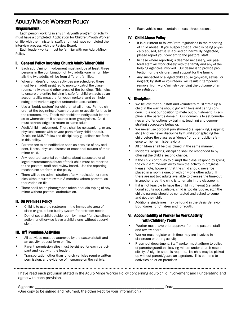# ADULT/MINOR WORKER POLICY

### REQUIREMENTS:

 Each person working in any child/youth program or activity must have a completed Application for Children/Youth Worker on file with the ministerial staff, and must have completed the interview process with the Review Board.

 Each leader/worker must be familiar with our Adult/Minor Policy.

### I. General Policy Involving Church Adult/Minor Child

- Each adult/minor involvement must include at least three persons in the combination of two adults/one minor. Ideally the two adults will be from different families.
- When children's or youth activities are scheduled there must be an adult assigned to monitor/patrol the classrooms, hallways and other areas of the building. This helps to ensure the entire building is safe for children, acts as an accountability measure for youth workers, and can help safeguard workers against unfounded accusations.
- Use a "buddy system" for children at all times. Pair up children at the beginning of each program or activity for trips to the restroom, etc. Teach minor child to notify adult leader as to whereabouts if separated from group/class. Child must acknowledge his return to same adult.
- Adult/child involvement. There shall be no spanking, or any physical contact with private parts of any child or adult. Discipline MUST follow the disciplinary guidelines set forth in this policy.
- Parents are to be notified as soon as possible of any accident, illness, physical distress or emotional trauma of their minor child.
- Any reported parental complaints about suspected or alleged mistreatment/abuse of their child must be reported to the pastoral staff and review board. Use the reporting mechanism set forth in the policy.
- There will be no administration of any medication or remedies without current (within 3 months) written parental authorization on file.
- There shall be no photographs taken or audio taping of any minor without pastoral authorization.

### **II. On Premises Policy**

- Child is to use the restroom in the immediate area of class or group. Use buddy system for restroom needs
- Do not set a child outside room by himself for disciplinary action, or otherwise leave a child alone without supervision.

### III. Off Premises Activities

- All activities must be approved by the pastoral staff and an activity request form on file.
- Parent permission slips must be signed for each participant and kept with the leader.
- Transportation other than church vehicles require written permission, and evidence of insurance on the vehicle.

Each vehicle must contain at least three persons.

### **IV. Child Abuse Policy**

- It is our intent to follow State regulations in the reporting of child abuse. If you suspect that a child is being physically abused, sexually abused or harmfully neglected, please report your concern to the pastoral staff.
- In case where reporting is deemed necessary, our pastoral staff will work closely with the family and any of the helping agencies involved. Our desire is to provide protection for the children, and support for the family.
- Any suspected or alleged child abuse (physical, sexual, or neglect) by staff or volunteers will result in temporary removal from work/ministry pending the outcome of an investigation.

### **V.** Discipline

- We believe that our staff and volunteers must "train up a child in the way he should go" with love and caring concern. It is not our position to mete out punishment. Discipline is the parent's domain. Our domain is to set boundaries and offer options by training, teaching and demonstrating acceptable behavior.
- We never use corporal punishment (i.e. spanking, slapping, etc.) And we never discipline by humiliation (placing the child before the class as a "dunce" or other public reference to his/her misbehavior.)
- All children shall be disciplined in the same manner.
- Incidents requiring discipline shall be responded to by offering the child a second chance.
- If the child continues to disrupt the class, respond by giving the child a "time-out" away from the activity in progress. Please note, however, that the child should never be placed in a room alone, or with only one other adult. If there are not two adults available to oversee the time-out in another area, the child is to remain in the classroom.
- If it is not feasible to have the child in time-out (i.e. additional adults not available, child is too disruptive, etc.) the child's parents should be contacted and asked to come and get their child.
- Additional guidelines may be found in the Basic Behavior Boundaries for Children and for Youth.

### VI. Accountability of Worker for Work Activity with Children/Youth

- Worker must have prior approval from the pastoral staff and review board.
- Worker must register each time they are involved in a classroom or outing activity.
- Preschool department: Staff worker must adhere to policy of parents/guardians leaving minors under church responsibility. A sign-in sheet is required. No child may be picked up without parent/guardian signature. This pertains to activities on or off premises.

I have read each provision stated in the Adult/Minor Worker Policy concerning adult/child involvement and I understand and agree with each provision.

Signature \_\_\_\_\_\_\_\_\_\_\_\_\_\_\_\_\_\_\_\_\_\_\_\_\_\_\_\_\_\_\_\_\_\_\_\_\_\_\_\_\_\_\_\_\_\_\_\_\_\_\_\_\_\_\_\_\_\_\_\_\_\_\_\_\_ Date\_\_\_\_\_\_\_\_\_\_\_\_\_\_\_\_\_\_\_\_\_\_\_\_\_

(One copy to be signed and returned, the other kept for your information.)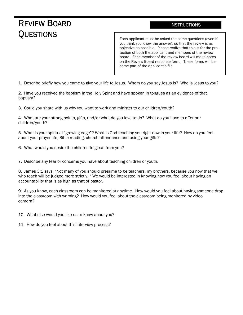# REVIEW BOARD **QUESTIONS**

## **INSTRUCTIONS**

Each applicant must be asked the same questions (even if you think you know the answer), so that the review is as objective as possible. Please realize that this is for the protection of both the applicant and members of the review board. Each member of the review board will make notes on the Review Board response form. These forms will become part of the applicant's file.

1. Describe briefly how you came to give your life to Jesus. Whom do you say Jesus is? Who is Jesus to you?

2. Have you received the baptism in the Holy Spirit and have spoken in tongues as an evidence of that baptism?

3. Could you share with us why you want to work and minister to our children/youth?

4. What are your strong points, gifts, and/or what do you love to do? What do you have to offer our children/youth?

5. What is your spiritual "growing edge"? What is God teaching you right now in your life? How do you feel about your prayer life, Bible reading, church attendance and using your gifts?

6. What would you desire the children to glean from you?

7. Describe any fear or concerns you have about teaching children or youth.

8. James 3:1 says, "Not many of you should presume to be teachers, my brothers, because you now that we who teach will be judged more strictly. " We would be interested in knowing how you feel about having an accountability that is as high as that of pastor.

9. As you know, each classroom can be monitored at anytime. How would you feel about having someone drop into the classroom with warning? How would you feel about the classroom being monitored by video camera?

10. What else would you like us to know about you?

11. How do you feel about this interview process?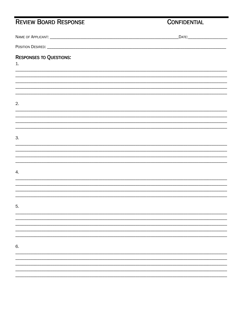# REVIEW BOARD RESPONSE

# **CONFIDENTIAL**

|                                      | _DATE:___________________________ |
|--------------------------------------|-----------------------------------|
|                                      |                                   |
| <b>RESPONSES TO QUESTIONS:</b><br>1. |                                   |
|                                      |                                   |
|                                      |                                   |
|                                      |                                   |
| 2.                                   |                                   |
|                                      |                                   |
|                                      |                                   |
| 3.                                   |                                   |
|                                      |                                   |
|                                      |                                   |
| 4.                                   |                                   |
|                                      |                                   |
|                                      |                                   |
| 5.                                   |                                   |
|                                      |                                   |
|                                      |                                   |
|                                      |                                   |
| 6.                                   |                                   |
|                                      |                                   |
|                                      |                                   |
|                                      |                                   |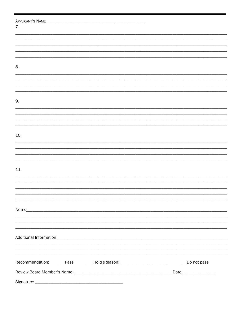| 7.                                                                    |                         |
|-----------------------------------------------------------------------|-------------------------|
|                                                                       |                         |
|                                                                       |                         |
|                                                                       |                         |
|                                                                       |                         |
| 8.                                                                    |                         |
|                                                                       |                         |
|                                                                       |                         |
|                                                                       |                         |
|                                                                       |                         |
| 9.                                                                    |                         |
|                                                                       |                         |
|                                                                       |                         |
|                                                                       |                         |
|                                                                       |                         |
| 10.                                                                   |                         |
|                                                                       |                         |
|                                                                       |                         |
|                                                                       |                         |
| 11.                                                                   |                         |
|                                                                       |                         |
|                                                                       |                         |
|                                                                       |                         |
|                                                                       |                         |
|                                                                       |                         |
|                                                                       |                         |
|                                                                       |                         |
|                                                                       |                         |
|                                                                       |                         |
|                                                                       |                         |
|                                                                       |                         |
|                                                                       |                         |
| Recommendation: ____Pass ______Hold (Reason)_________________________ | Do not pass             |
|                                                                       | Date:__________________ |
|                                                                       |                         |
|                                                                       |                         |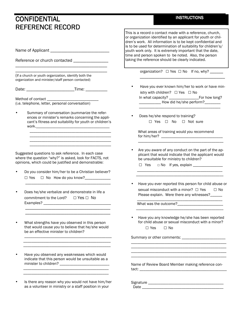# **CONFIDENTIAL** REFERENCE RECORD

| KEFEKENGE KEGOKD                                                                                                                                                      |                                                                                                                                                                                                                                                                                                                                                                                                                                       |
|-----------------------------------------------------------------------------------------------------------------------------------------------------------------------|---------------------------------------------------------------------------------------------------------------------------------------------------------------------------------------------------------------------------------------------------------------------------------------------------------------------------------------------------------------------------------------------------------------------------------------|
| Reference or church contacted __________________                                                                                                                      | This is a record o contact made with a reference, church,<br>or organization identified by an applicant for youth or chil-<br>dren's work. All information is to be kept confidential and<br>is to be used for determination of suitability for children's/<br>youth work only. It is extremely important that the date,<br>time and person spoken to be noted. Also, the person<br>taking the reference should be clearly indicated. |
|                                                                                                                                                                       | organization? □ Yes □ No If no, why? ______                                                                                                                                                                                                                                                                                                                                                                                           |
| (If a church or youth organization, identify both the<br>organization and minister/staff person contacted)                                                            |                                                                                                                                                                                                                                                                                                                                                                                                                                       |
| Date: _________________________________Time: ___________________________________                                                                                      | Have you ever known him/her to work or have min-<br>٠<br>istry with children? $\Box$ Yes $\Box$ No<br>______________ How did he/she perform?_________                                                                                                                                                                                                                                                                                 |
| Summary of conversation (summarize the refer-<br>ences or minister's remarks concerning the appli-<br>cant's fitness and suitability for youth or children's          | Does he/she respond to training?<br>$\bullet$<br>□ Yes □ No □ Not sure                                                                                                                                                                                                                                                                                                                                                                |
|                                                                                                                                                                       | What areas of training would you recommend                                                                                                                                                                                                                                                                                                                                                                                            |
|                                                                                                                                                                       |                                                                                                                                                                                                                                                                                                                                                                                                                                       |
| Suggested questions to ask reference. In each case<br>where the question "why?" is asked, look for FACTS, not<br>opinions, which could be justified and demonstrable: | Are you aware of any conduct on the part of the ap-<br>plicant that would indicate that the applicant would<br>be unsuitable for ministry to children?<br>$\Box$ Yes<br>□ No If yes, explain ______________<br><u> 1980 - Johann Barn, mars ann an t-Amhain an t-Amhain an t-Amhain an t-Amhain an t-Amhain an t-Amhain an t-Amh</u>                                                                                                  |
| Do you consider him/her to be a Christian believer?<br>□ Yes □ No How do you know?___________                                                                         |                                                                                                                                                                                                                                                                                                                                                                                                                                       |
| Does he/she verbalize and demonstrate in life a<br>commitment to the Lord?  □ Yes □ No                                                                                | sexual misconduct with a minor? □ Yes<br>$\Box$ No<br>Please explain. Were there any witnesses?_____                                                                                                                                                                                                                                                                                                                                  |
| Examples? _                                                                                                                                                           | What was the outcome?                                                                                                                                                                                                                                                                                                                                                                                                                 |
| What strengths have you observed in this person<br>that would cause you to believe that he/she would                                                                  | Have you ever reported this person for child abuse or<br>Have you any knowledge he/she has been reported<br>for child abuse or sexual misconduct with a minor?<br>$\Box$ Yes<br>$\Box$ No                                                                                                                                                                                                                                             |
| be an effective minister to children?                                                                                                                                 | Summary or other comments: ______________________                                                                                                                                                                                                                                                                                                                                                                                     |

• Is there any reason why you would not have him/her as a volunteer in ministry or a staff position in your Signature \_\_\_\_\_\_\_\_\_\_\_\_\_\_\_\_\_\_\_\_\_\_\_\_\_\_\_\_\_\_\_\_\_\_\_\_\_\_ Date \_\_\_\_\_\_\_\_\_\_\_\_\_\_\_\_\_\_\_\_\_\_\_\_\_\_\_\_\_\_\_\_\_\_\_\_\_\_\_\_\_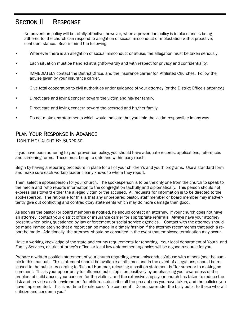# SECTION II RESPONSE

 No prevention policy will be totally effective, however, when a prevention policy is in place and is being adhered to, the church can respond to allegation of sexual misconduct or molestation with a proactive, confident stance. Bear in mind the following:

- Whenever there is an allegation of sexual misconduct or abuse, the allegation must be taken seriously.
- Each situation must be handled straightforwardly and with respect for privacy and confidentiality.
- IMMEDIATELY contact the District Office, and the insurance carrier for Affiliated Churches. Follow the advise given by your insurance carrier.
- Give total cooperation to civil authorities under guidance of your attorney (or the District Office's attorney.)
- Direct care and loving concern toward the victim and his/her family.
- Direct care and loving concern toward the accused and his/her family.
- Do not make any statements which would indicate that you hold the victim responsible in any way.

# PLAN YOUR RESPONSE IN ADVANCE

DON'T BE CAUGHT BY SURPRISE

If you have been adhering to your prevention policy, you should have adequate records, applications, references and screening forms. These must be up to date and within easy reach.

Begin by having a reporting procedure in place for all of your children's and youth programs. Use a standard form and make sure each worker/leader clearly knows to whom they report.

Then, select a spokesperson for your church. The spokesperson is to be the only one from the church to speak to the media and who reports information to the congregation tactfully and diplomatically. This person should not express bias toward either the alleged victim or the accused. All requests for information is to be directed to the spokesperson. The rationale for this is that any unprepared pastor, staff member or board member may inadvertently give out conflicting and contradictory statements which may do more damage than good.

As soon as the pastor (or board member) is notified, he should contact an attorney. If your church does not have an attorney, contact your district office or insurance carrier for appropriate referrals. Always have your attorney present when being questioned by law enforcement or social service agencies. Contact with the attorney should be made immediately so that a report can be made in a timely fashion if the attorney recommends that such a report be made. Additionally, the attorney should be consulted in the event that employee termination may occur.

Have a working knowledge of the state and county requirements for reporting. Your local department of Youth and Family Services, district attorney's office, or local law enforcement agencies will be a good resource for you.

Prepare a written position statement of your church regarding sexual misconduct/abuse with minors (see the sample in this manual). This statement should be available at all times and in the event of allegations, should be released to the public. According to Richard Hammar, releasing a position statement is "far superior to making no comment. This is your opportunity to influence public opinion positively by emphasizing your awareness of the problem of child abuse, your concern for the victims, and the extensive steps your church has taken to reduce the risk and provide a safe environment for children...describe all the precautions you have taken, and the policies you have implemented. This is not time for silence or 'no comment'. Do not surrender the bully pulpit to those who will criticize and condemn you."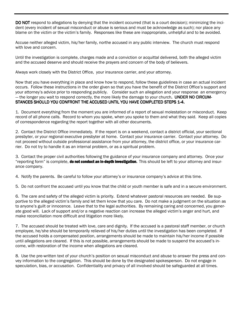DO NOT respond to allegations by denying that the incident occurred (that is a court decision); minimizing the incident (every incident of sexual misconduct or abuse is serious and must be acknowledge as such); nor place any blame on the victim or the victim's family. Responses like these are inappropriate, unhelpful and to be avoided.

Accuse neither alleged victim, his/her family, northe accused in any public interview. The church must respond with love and concern.

Until the investigation is complete, charges made and a conviction or acquittal delivered, both the alleged victim and the accused deserve and should receive the prayers and concern of the body of believers.

Always work closely with the District Office, your insurance carrier, and your attorney.

Now that you have everything in place and know how to respond, follow these guidelines in case an actual incident occurs. Follow these instructions in the order given so that you have the benefit of the District Office's support and your attorney's advice prior to responding publicly. Consider such an allegation and your response an emergency — the longer you wait to respond correctly, the more likely the damage to your church. UNDER NO CIRCUM-STANCES SHOULD YOU CONFRONT THE ACCUSED UNTIL YOU HAVE COMPLETED STEPS 1-4.

1. Document everything from the moment you are informed of a report of sexual molestation or misconduct. Keep record of all phone calls. Record to whom you spoke, when you spoke to them and what they said. Keep all copies of correspondence regarding the report together with all other documents.

2. Contact the District Office immediately. If the report is on a weekend, contact a district official, your sectional presbyter, or your regional executive presbyter at home. Contact your insurance carrier. Contact your attorney. Do not proceed without outside professional assistance from your attorney, the district office, or your insurance carrier. Do not try to handle it as an internal problem, or as a spiritual problem.

3. Contact the proper civil authorities following the guidance of your insurance company and attorney. Once your "reporting form" is complete, **do not conduct an in-depth investigation**. This should be left to your attorney and insurance company.

4. Notify the parents. Be careful to follow your attorney's or insurance company's advice at this time.

5. Do not confront the accused until you know that the child or youth member is safe and in a secure environment.

6. The care and safety of the alleged victim is priority. Extend whatever pastoral resources are needed. Be supportive to the alleged victim's family and let them know that you care. Do not make a judgment on the situation as to anyone's guilt or innocence. Leave that to the legal authorities. By remaining caring and concerned, you generate good will. Lack of support and/or a negative reaction can increase the alleged victim's anger and hurt, and make reconciliation more difficult and litigation more likely.

7. The accused should be treated with love, care and dignity. If the accused is a pastoral staff member, or church employee, he/she should be temporarily relieved of his/her duties until the investigation has been completed. If the accused holds a compensated position, arrangements should be made to maintain his/her income if possible until allegations are cleared. If this is not possible, arrangements should be made to suspend the accused's income, with restoration of the income when allegations are cleared.

8. Use the pre-written text of your church's position on sexual misconduct and abuse to answer the press and convey information to the congregation. This should be done by the designated spokesperson. Do not engage in speculation, bias, or accusation. Confidentiality and privacy of all involved should be safeguarded at all times.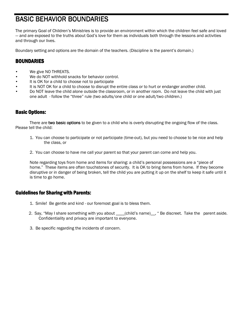# **BASIC BEHAVIOR BOUNDARIES**

The primary Goal of Children's Ministries is to provide an environment within which the children feel safe and loved — and are exposed to the truths about God's love for them as individuals both through the lessons and activities and through our lives.

Boundary setting and options are the domain of the teachers. (Discipline is the parent's domain.)

## BOUNDARIES

- We give NO THREATS.
- We do NOT withhold snacks for behavior control.
- It is OK for a child to choose not to participate
- It is NOT OK for a child to choose to disrupt the entire class or to hurt or endanger another child.
- Do NOT leave the child alone outside the classroom, or in another room. Do not leave the child with just one adult - follow the "three" rule (two adults/one child or one adult/two children.)

## **Basic Options:**

There are two basic options to be given to a child who is overly disrupting the ongoing flow of the class. Please tell the child:

- 1. You can choose to participate or not participate (time-out), but you need to choose to be nice and help the class, or
- 2. You can choose to have me call your parent so that your parent can come and help you.

 Note regarding toys from home and items for sharing: a child's personal possessions are a "piece of home." These items are often touchstones of security. It is OK to bring items from home. If they become disruptive or in danger of being broken, tell the child you are putting it up on the shelf to keep it safe until it is time to go home.

## **Guidelines for Sharing with Parents:**

- 1. Smile! Be gentle and kind our foremost goal is to bless them.
- 2. Say, "May I share something with you about \_\_\_\_(child's name)\_\_, " Be discreet. Take the parent aside. Confidentiality and privacy are important to everyone.
- 3. Be specific regarding the incidents of concern.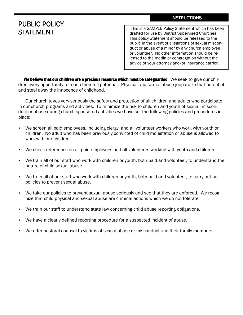# PUBLIC POLICY **STATEMENT**

 This is a SAMPLE Policy Statement which has been drafted for use by District Supervised Churches. This policy Statement should be released to the public in the event of allegations of sexual misconduct or abuse of a minor by any church employee or volunteer. No other information should be released to the media or congregation without the advice of your attorney and/or insurance carrier.

We believe that our children are a precious resource which must be safeguarded. We seek to give our children every opportunity to reach their full potential. Physical and sexual abuse jeopardize that potential and steal away the innocence of childhood.

 Our church takes very seriously the safety and protection of all children and adults who participate in our church programs and activities. To minimize the risk to children and youth of sexual misconduct or abuse during church sponsored activities we have set the following policies and procedures in place:

- We screen all paid employees, including clergy, and all volunteer workers who work with youth or children. No adult who has been previously convicted of child molestation or abuse is allowed to work with our children.
- We check references on all paid employees and all volunteers working with youth and children.
- We train all of our staff who work with children or youth, both paid and volunteer, to understand the nature of child sexual abuse.
- We train all of our staff who work with children or youth, both paid and volunteer, to carry out our policies to prevent sexual abuse.
- We take our policies to prevent sexual abuse seriously and see that they are enforced. We recognize that child physical and sexual abuse are criminal actions which we do not tolerate.
- We train our staff to understand state law concerning child abuse reporting obligations.
- We have a clearly defined reporting procedure for a suspected incident of abuse.
- We offer pastoral counsel to victims of sexual abuse or misconduct and their family members.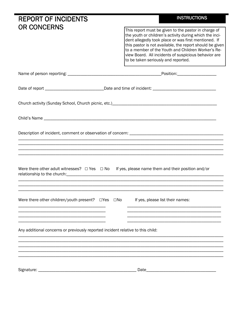| <b>REPORT OF INCIDENTS</b>                                                                                                                                                                                                                                                                                                                  | <b>INSTRUCTIONS</b>                                                                                                                                                                                                                                                                                                                                                                      |  |  |  |
|---------------------------------------------------------------------------------------------------------------------------------------------------------------------------------------------------------------------------------------------------------------------------------------------------------------------------------------------|------------------------------------------------------------------------------------------------------------------------------------------------------------------------------------------------------------------------------------------------------------------------------------------------------------------------------------------------------------------------------------------|--|--|--|
| <b>OR CONCERNS</b>                                                                                                                                                                                                                                                                                                                          | This report must be given to the pastor in charge of<br>the youth or children's activity during which the inci-<br>dent allegedly took place or was first mentioned. If<br>this pastor is not available, the report should be given<br>to a member of the Youth and Children Worker's Re-<br>view Board. All incidents of suspicious behavior are<br>to be taken seriously and reported. |  |  |  |
|                                                                                                                                                                                                                                                                                                                                             |                                                                                                                                                                                                                                                                                                                                                                                          |  |  |  |
| Date of report __________________________________Date and time of incident: __________________________________                                                                                                                                                                                                                              |                                                                                                                                                                                                                                                                                                                                                                                          |  |  |  |
| Church activity (Sunday School, Church picnic, etc.) [2010] [2010] [2010] [2010] [2010] [2010] [2010] [2010] [                                                                                                                                                                                                                              |                                                                                                                                                                                                                                                                                                                                                                                          |  |  |  |
|                                                                                                                                                                                                                                                                                                                                             |                                                                                                                                                                                                                                                                                                                                                                                          |  |  |  |
|                                                                                                                                                                                                                                                                                                                                             |                                                                                                                                                                                                                                                                                                                                                                                          |  |  |  |
|                                                                                                                                                                                                                                                                                                                                             |                                                                                                                                                                                                                                                                                                                                                                                          |  |  |  |
| Were there other adult witnesses? $\Box$ Yes $\Box$ No If yes, please name them and their position and/or<br>relationship to the church: example and a series of the church of the church of the church of the church of the church of the church of the church of the church of the church of the church of the church of the church of th |                                                                                                                                                                                                                                                                                                                                                                                          |  |  |  |
| Were there other children/youth present? □ Yes<br>$\square$ No                                                                                                                                                                                                                                                                              | If yes, please list their names:                                                                                                                                                                                                                                                                                                                                                         |  |  |  |
| Any additional concerns or previously reported incident relative to this child:                                                                                                                                                                                                                                                             |                                                                                                                                                                                                                                                                                                                                                                                          |  |  |  |
|                                                                                                                                                                                                                                                                                                                                             |                                                                                                                                                                                                                                                                                                                                                                                          |  |  |  |
| Signature: _                                                                                                                                                                                                                                                                                                                                | Date_                                                                                                                                                                                                                                                                                                                                                                                    |  |  |  |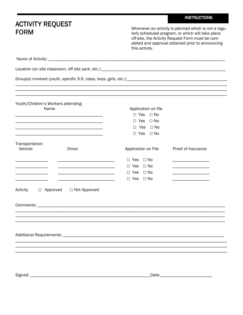|                                                                                                                                                                                                                                                                                              |                                                                                                                      |                                                                                                                           | <b>INSTRUCTIONS</b>                                                                                                                                                                                               |
|----------------------------------------------------------------------------------------------------------------------------------------------------------------------------------------------------------------------------------------------------------------------------------------------|----------------------------------------------------------------------------------------------------------------------|---------------------------------------------------------------------------------------------------------------------------|-------------------------------------------------------------------------------------------------------------------------------------------------------------------------------------------------------------------|
| <b>ACTIVITY REQUEST</b><br><b>FORM</b>                                                                                                                                                                                                                                                       |                                                                                                                      | this activity.                                                                                                            | Whenever an activity is planned which is not a regu-<br>larly scheduled program, or which will take place<br>off-site, the Activity Request Form must be com-<br>pleted and approval obtained prior to announcing |
|                                                                                                                                                                                                                                                                                              |                                                                                                                      |                                                                                                                           |                                                                                                                                                                                                                   |
|                                                                                                                                                                                                                                                                                              |                                                                                                                      |                                                                                                                           |                                                                                                                                                                                                                   |
|                                                                                                                                                                                                                                                                                              |                                                                                                                      |                                                                                                                           |                                                                                                                                                                                                                   |
|                                                                                                                                                                                                                                                                                              |                                                                                                                      |                                                                                                                           |                                                                                                                                                                                                                   |
| Youth/Children's Workers attending:<br>Name<br><u> 1989 - Johann Stein, marwolaethau a bhann an t-Amhair ann an t-Amhair an t-Amhair an t-Amhair an t-Amhair an </u><br><u> 1989 - Andrea Santa Andrea Andrea Andrea Andrea Andrea Andrea Andrea Andrea Andrea Andrea Andrea Andrea Andr</u> |                                                                                                                      | Application on file<br>$\Box$ Yes $\Box$ No<br>$\Box$ Yes $\Box$ No<br>$\Box$ Yes $\Box$ No<br>$\Box$ Yes<br>$\square$ No |                                                                                                                                                                                                                   |
| Transportation:<br>Vehicle:<br><b>Driver</b>                                                                                                                                                                                                                                                 |                                                                                                                      | Application on File                                                                                                       | Proof of Insurance                                                                                                                                                                                                |
|                                                                                                                                                                                                                                                                                              | <u> 1989 - Johann John Stone, markin fan it ferstjer fan it ferstjer fan it ferstjer fan it ferstjer fan it fers</u> | $\square$ No<br>$\Box$ Yes<br>$\Box$ Yes $\Box$ No<br>$\Box$ Yes<br>$\Box$ No<br>$\Box$ Yes $\Box$ No                     | <u> 1989 - Johann John Harry Harry Harry Harry Harry Harry Harry Harry Harry Harry Harry Harry Harry Harry Harry H</u>                                                                                            |
| Activity<br>$\Box$ Approved                                                                                                                                                                                                                                                                  | $\Box$ Not Approved                                                                                                  |                                                                                                                           |                                                                                                                                                                                                                   |
|                                                                                                                                                                                                                                                                                              |                                                                                                                      |                                                                                                                           |                                                                                                                                                                                                                   |
|                                                                                                                                                                                                                                                                                              |                                                                                                                      |                                                                                                                           |                                                                                                                                                                                                                   |
|                                                                                                                                                                                                                                                                                              |                                                                                                                      |                                                                                                                           |                                                                                                                                                                                                                   |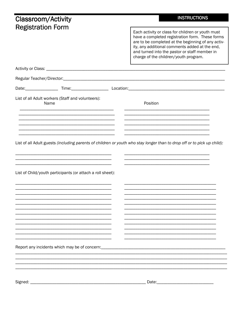| <b>Classroom/Activity</b>                                  | <b>INSTRUCTIONS</b>                                                                                                                                                                                                                                                                                    |
|------------------------------------------------------------|--------------------------------------------------------------------------------------------------------------------------------------------------------------------------------------------------------------------------------------------------------------------------------------------------------|
| <b>Registration Form</b>                                   | Each activity or class for children or youth must<br>have a completed registration form. These forms<br>are to be completed at the beginning of any activ-<br>ity, any additional comments added at the end,<br>and turned into the pastor or staff member in<br>charge of the children/youth program. |
|                                                            |                                                                                                                                                                                                                                                                                                        |
|                                                            |                                                                                                                                                                                                                                                                                                        |
|                                                            |                                                                                                                                                                                                                                                                                                        |
| List of all Adult workers (Staff and volunteers):<br>Name  | Position                                                                                                                                                                                                                                                                                               |
| List of Child/youth participants (or attach a roll sheet): | List of all Adult guests (including parents of children or youth who stay longer than to drop off or to pick up child):                                                                                                                                                                                |
|                                                            |                                                                                                                                                                                                                                                                                                        |
|                                                            |                                                                                                                                                                                                                                                                                                        |
| Report any incidents which may be of concern:              |                                                                                                                                                                                                                                                                                                        |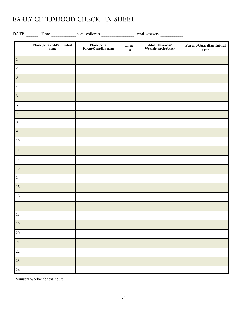# EARLY CHILDHOOD CHECK -IN SHEET

|                  | DATE ________ Time _______________ total children ____________________ total workers ______________ |                                      |                           |                                                                                               |                                       |
|------------------|-----------------------------------------------------------------------------------------------------|--------------------------------------|---------------------------|-----------------------------------------------------------------------------------------------|---------------------------------------|
|                  | Please print child's $\,{\rm first}/{\rm last}$<br>$\bf name$                                       | Please print<br>Parent/Guardian name | <b>Time</b><br>${\bf In}$ | $\operatorname{\mathbf{A}\textnormal{d}\textnormal{ult}}$ Classroom/<br>Worship service/other | <b>Parent/Guardian Initial</b><br>Out |
| $1\,$            |                                                                                                     |                                      |                           |                                                                                               |                                       |
| $\sqrt{2}$       |                                                                                                     |                                      |                           |                                                                                               |                                       |
| $\mathfrak{Z}$   |                                                                                                     |                                      |                           |                                                                                               |                                       |
| $\overline{4}$   |                                                                                                     |                                      |                           |                                                                                               |                                       |
| $\overline{5}$   |                                                                                                     |                                      |                           |                                                                                               |                                       |
| $\sqrt{6}$       |                                                                                                     |                                      |                           |                                                                                               |                                       |
| $\boldsymbol{7}$ |                                                                                                     |                                      |                           |                                                                                               |                                       |
| $\,8\,$          |                                                                                                     |                                      |                           |                                                                                               |                                       |
| 9                |                                                                                                     |                                      |                           |                                                                                               |                                       |
| $10\,$           |                                                                                                     |                                      |                           |                                                                                               |                                       |
| $11\,$           |                                                                                                     |                                      |                           |                                                                                               |                                       |
| $12\,$           |                                                                                                     |                                      |                           |                                                                                               |                                       |
| $13\,$           |                                                                                                     |                                      |                           |                                                                                               |                                       |
| $14\,$           |                                                                                                     |                                      |                           |                                                                                               |                                       |
| 15               |                                                                                                     |                                      |                           |                                                                                               |                                       |
| $16\,$           |                                                                                                     |                                      |                           |                                                                                               |                                       |
| $17\,$           |                                                                                                     |                                      |                           |                                                                                               |                                       |
| $18\,$           |                                                                                                     |                                      |                           |                                                                                               |                                       |
| 19               |                                                                                                     |                                      |                           |                                                                                               |                                       |
| $20\,$           |                                                                                                     |                                      |                           |                                                                                               |                                       |
| 21               |                                                                                                     |                                      |                           |                                                                                               |                                       |
| $22\,$           |                                                                                                     |                                      |                           |                                                                                               |                                       |
| 23               |                                                                                                     |                                      |                           |                                                                                               |                                       |
| 24               |                                                                                                     |                                      |                           |                                                                                               |                                       |

Ministry Worker for the hour: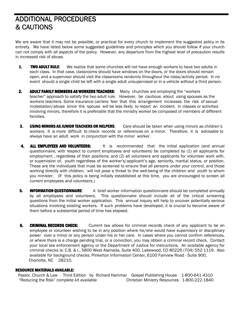# ADDITIONAL PROCEDURES & CAUTIONS & CAUTIONS

We are aware that it may not be possible, or practical for every church to implement the suggested policy in its entirety. We have listed below some suggested guidelines and principles which you should follow if your church can not comply with all aspects of the policy. However, any departure from the highest level of precaution results in increased risk of abuse.

- 1. TWO ADULT RULE: We realize that some churches will not have enough workers to have two adults in each class. In that case, classrooms should have windows on the doors, or the doors should remain open, and a supervisor should visit the classrooms randomly throughout the class/activity period. In no event should a single child be left with a single adult unsupervised or in a vehicle without a third person.
- 2. ADULT FAMILY MEMBERS AS WORKERS TEACHERS: Many churches are employing the "workers" teacher" approach to satisfy the two adult rule. However, be cautious about using spouses as the workers teachers. Some insurance carriers feel that this arrangement increases the risk of sexual molestation/abuse since the spouse will be less likely to report an incident. In classes or activities involving minors, therefore it is preferable that the ministry worker be composed of members of different families.
- 3. USING MINORS AS JUNIOR TEACHERS OR HELPERS: Care should be taken when using minors as children's workers. It is more difficult to check records or references on a minor. Therefore, it is advisable to always have an adult work in conjunction with the minor worker.
- 4. **ALL EMPLOYEES AND VOLUNTEERS:** It is recommended that the initial application (and annual questionnaire, with respect to current employees and volunteers) be completed by (1) all applicants for employment , regardless of their positions; and (2) all volunteers and applicants for volunteer work with, or supervision of, youth regardless of the worker's/applicant's age, seniority, martial status, or position. These are the individuals that must be screened to ensure that all persons under your control, and those working directly with children, will not pose a threat to the well-being of the children and youth to whom you minister. (If this policy is being initially established at this time, you are encouraged to screen all current employees and volunteers.)
- 5. **INFORMATION QUESTIONNAIRE**: A brief worker information questionnaire should be completed annually by all employees and volunteers. This questionnaire should include all of the critical screening questions from the initial worker application. This annual inquiry will help to uncover potentially serious situations involving existing workers. If such problems have developed, it is crucial to become aware of them before a substantial period of time has elapsed.
- 6. **CRIMINAL RECORDS CHECK:** Current law allows for criminal records check of any applicant to be an employee or volunteer wishing to be in any position where he/she would have supervisory or disciplinary power over a minor or any person under his or her care. In cases where you cannot confirm references, or where there is a charge pending trial, or a conviction, you may obtain a criminal record check. Contact your local law enforcement agency or the Department of Justice for instructions. An available agency for criminal checks is: C.B. & I., 5800 West Alameda, Suite 400, Lakewood, CO 80226 (704) 552-1119. Also available for background checks: Pinkerton Information Center, 6100 Fairview Road - Suite 900, Charlotte, NC 28210.

### RESOURCE MATERIALS AVAILABLE:

Pastor, Church & Law Third Edition by Richard Hammar Gospel Publishing House 1-800-641-4310 "Reducing the Risk" complete kit available Christian Ministry Resources 1-800-222-1840